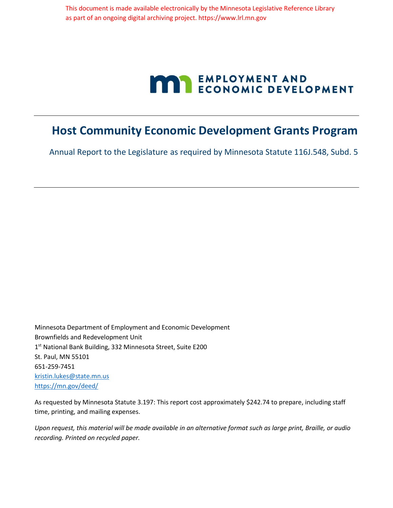This document is made available electronically by the Minnesota Legislative Reference Library as part of an ongoing digital archiving project. https://www.lrl.mn.gov

# **MARIE ENPLOYMENT AND ECONOMIC DEVELOPMENT**

## **Host Community Economic Development Grants Program**

Annual Report to the Legislature as required by Minnesota Statute 116J.548, Subd. 5

Minnesota Department of Employment and Economic Development Brownfields and Redevelopment Unit 1 st National Bank Building, 332 Minnesota Street, Suite E200 St. Paul, MN 55101 651-259-7451 kristin.lukes@state.mn.us https://mn.gov/deed/

As requested by Minnesota Statute 3.197: This report cost approximately \$242.74 to prepare, including staff time, printing, and mailing expenses.

*Upon request, this material will be made available in an alternative format such as large print, Braille, or audio recording. Printed on recycled paper.*